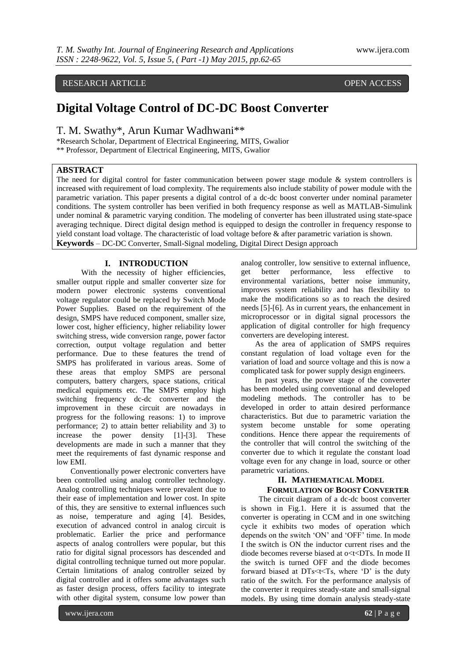# RESEARCH ARTICLE **CONSERVERS** OPEN ACCESS

# **Digital Voltage Control of DC-DC Boost Converter**

T. M. Swathy\*, Arun Kumar Wadhwani\*\*

\*Research Scholar, Department of Electrical Engineering, MITS, Gwalior \*\* Professor, Department of Electrical Engineering, MITS, Gwalior

# **ABSTRACT**

The need for digital control for faster communication between power stage module & system controllers is increased with requirement of load complexity. The requirements also include stability of power module with the parametric variation. This paper presents a digital control of a dc-dc boost converter under nominal parameter conditions. The system controller has been verified in both frequency response as well as MATLAB-Simulink under nominal & parametric varying condition. The modeling of converter has been illustrated using state-space averaging technique. Direct digital design method is equipped to design the controller in frequency response to yield constant load voltage. The characteristic of load voltage before & after parametric variation is shown. **Keywords** – DC-DC Converter, Small-Signal modeling, Digital Direct Design approach

### **I. INTRODUCTION**

With the necessity of higher efficiencies, smaller output ripple and smaller converter size for modern power electronic systems conventional voltage regulator could be replaced by Switch Mode Power Supplies. Based on the requirement of the design, SMPS have reduced component, smaller size, lower cost, higher efficiency, higher reliability lower switching stress, wide conversion range, power factor correction, output voltage regulation and better performance. Due to these features the trend of SMPS has proliferated in various areas. Some of these areas that employ SMPS are personal computers, battery chargers, space stations, critical medical equipments etc. The SMPS employ high switching frequency dc-dc converter and the improvement in these circuit are nowadays in progress for the following reasons: 1) to improve performance; 2) to attain better reliability and 3) to increase the power density [1]-[3]. These developments are made in such a manner that they meet the requirements of fast dynamic response and low EMI.

Conventionally power electronic converters have been controlled using analog controller technology. Analog controlling techniques were prevalent due to their ease of implementation and lower cost. In spite of this, they are sensitive to external influences such as noise, temperature and aging [4]. Besides, execution of advanced control in analog circuit is problematic. Earlier the price and performance aspects of analog controllers were popular, but this ratio for digital signal processors has descended and digital controlling technique turned out more popular. Certain limitations of analog controller seized by digital controller and it offers some advantages such as faster design process, offers facility to integrate with other digital system, consume low power than

analog controller, low sensitive to external influence, get better performance, less effective to environmental variations, better noise immunity, improves system reliability and has flexibility to make the modifications so as to reach the desired needs [5]-[6]. As in current years, the enhancement in microprocessor or in digital signal processors the application of digital controller for high frequency converters are developing interest.

As the area of application of SMPS requires constant regulation of load voltage even for the variation of load and source voltage and this is now a complicated task for power supply design engineers.

In past years, the power stage of the converter has been modeled using conventional and developed modeling methods. The controller has to be developed in order to attain desired performance characteristics. But due to parametric variation the system become unstable for some operating conditions. Hence there appear the requirements of the controller that will control the switching of the converter due to which it regulate the constant load voltage even for any change in load, source or other parametric variations.

# **II. MATHEMATICAL MODEL FORMULATION OF BOOST CONVERTER**

The circuit diagram of a dc-dc boost converter is shown in Fig.1. Here it is assumed that the converter is operating in CCM and in one switching cycle it exhibits two modes of operation which depends on the switch "ON" and "OFF" time. In mode I the switch is ON the inductor current rises and the diode becomes reverse biased at o<t<DTs. In mode II the switch is turned OFF and the diode becomes forward biased at  $DTs < t < Ts$ , where 'D' is the duty ratio of the switch. For the performance analysis of the converter it requires steady-state and small-signal models. By using time domain analysis steady-state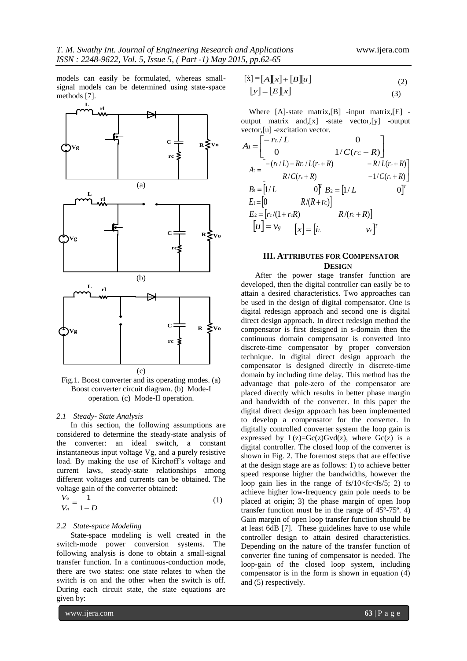models can easily be formulated, whereas smallsignal models can be determined using state-space methods [7].



Fig.1. Boost converter and its operating modes. (a) Boost converter circuit diagram. (b) Mode-I operation. (c) Mode-II operation.

#### *2.1 Steady- State Analysis*

In this section, the following assumptions are considered to determine the steady-state analysis of the converter: an ideal switch, a constant instantaneous input voltage Vg, and a purely resistive load. By making the use of Kirchoff"s voltage and current laws, steady-state relationships among different voltages and currents can be obtained. The voltage gain of the converter obtained:

$$
\frac{V_o}{V_g} = \frac{1}{1 - D} \tag{1}
$$

#### *2.2 State-space Modeling*

State-space modeling is well created in the switch-mode power conversion systems. The following analysis is done to obtain a small-signal transfer function. In a continuous-conduction mode, there are two states: one state relates to when the switch is on and the other when the switch is off. During each circuit state, the state equations are given by:

$$
\begin{aligned}\n\left[\dot{x}\right] &= \left[A\right]\left[x\right] + \left[B\right]\left[u\right] \\
\left[y\right] &= \left[E\right]\left[x\right]\n\end{aligned}\n\tag{2}
$$

Where [A]-state matrix, [B] -input matrix, [E] output matrix and,[x] -state vector,[y] -output vector,[u] -excitation vector.

$$
A_1 = \begin{bmatrix} -r_L/L & 0 \\ 0 & 1/C(r_c + R) \end{bmatrix}
$$
  
\n
$$
A_2 = \begin{bmatrix} -(r_L/L) - Rr_c/L(r_c + R) & -R/L(r_c + R) \\ R/C(r_c + R) & -1/C(r_c + R) \end{bmatrix}
$$
  
\n
$$
B_1 = [1/L \t 0]^T B_2 = [1/L \t 0]^T
$$
  
\n
$$
E_1 = [0 \t R/(R + rc)]
$$
  
\n
$$
E_2 = [r_c/(1 + r_cR) \t R/(r_c + R)]
$$
  
\n
$$
[u] = v_g \t [x] = [iL \t v_c]^T
$$

# **III. ATTRIBUTES FOR COMPENSATOR DESIGN**

After the power stage transfer function are developed, then the digital controller can easily be to attain a desired characteristics. Two approaches can be used in the design of digital compensator. One is digital redesign approach and second one is digital direct design approach. In direct redesign method the compensator is first designed in s-domain then the continuous domain compensator is converted into discrete-time compensator by proper conversion technique. In digital direct design approach the compensator is designed directly in discrete-time domain by including time delay. This method has the advantage that pole-zero of the compensator are placed directly which results in better phase margin and bandwidth of the converter. In this paper the digital direct design approach has been implemented to develop a compensator for the converter. In digitally controlled converter system the loop gain is expressed by  $L(z) = Gc(z)Gvd(z)$ , where  $Gc(z)$  is a digital controller. The closed loop of the converter is shown in Fig. 2. The foremost steps that are effective at the design stage are as follows: 1) to achieve better speed response higher the bandwidths, however the loop gain lies in the range of  $fs/10 to$ achieve higher low-frequency gain pole needs to be placed at origin; 3) the phase margin of open loop transfer function must be in the range of 45º-75º. 4) Gain margin of open loop transfer function should be at least 6dB [7]. These guidelines have to use while controller design to attain desired characteristics. Depending on the nature of the transfer function of converter fine tuning of compensator is needed. The loop-gain of the closed loop system, including compensator is in the form is shown in equation (4) and (5) respectively.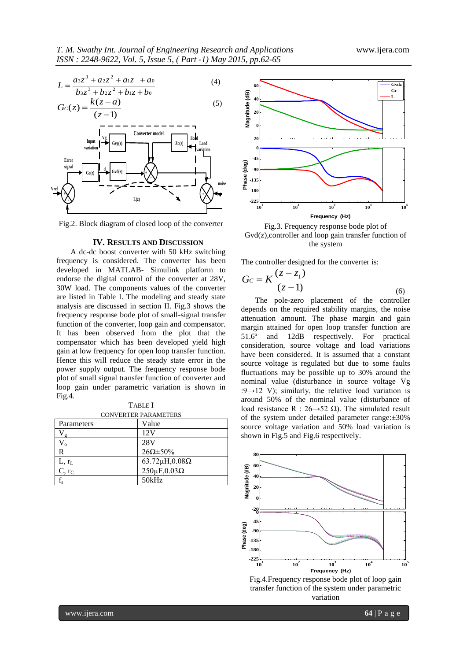$$
L = \frac{a_3 z^3 + a_2 z^2 + a_1 z + a_0}{b_3 z^3 + b_2 z^2 + b_1 z + b_0}
$$
 (4)



Fig.2. Block diagram of closed loop of the converter

#### **IV. RESULTS AND DISCUSSION**

A dc-dc boost converter with 50 kHz switching frequency is considered. The converter has been developed in MATLAB- Simulink platform to endorse the digital control of the converter at 28V, 30W load. The components values of the converter are listed in Table I. The modeling and steady state analysis are discussed in section II. Fig.3 shows the frequency response bode plot of small-signal transfer function of the converter, loop gain and compensator. It has been observed from the plot that the compensator which has been developed yield high gain at low frequency for open loop transfer function. Hence this will reduce the steady state error in the power supply output. The frequency response bode plot of small signal transfer function of converter and loop gain under parametric variation is shown in Fig.4.

TABLE I CONVERTER PARAMETERS

| Parameters | Value                       |
|------------|-----------------------------|
| $\sigma$   | 12V                         |
| $\Omega$   | 28V                         |
| R          | $26\Omega \pm 50\%$         |
| $L, r_L$   | 63.72 $\mu$ H,0.08 $\Omega$ |
| $C, r_C$   | $250 \mu F, 0.03 \Omega$    |
|            | 50kHz                       |



Fig.3. Frequency response bode plot of Gvd(z),controller and loop gain transfer function of the system

The controller designed for the converter is:

$$
Gc = K \frac{(z - z_1)}{(z - 1)}
$$
 (6)

The pole-zero placement of the controller depends on the required stability margins, the noise attenuation amount. The phase margin and gain margin attained for open loop transfer function are 51.6º and 12dB respectively. For practical consideration, source voltage and load variations have been considered. It is assumed that a constant source voltage is regulated but due to some faults fluctuations may be possible up to 30% around the nominal value (disturbance in source voltage Vg :9→12 V); similarly, the relative load variation is around 50% of the nominal value (disturbance of load resistance R :  $26 \rightarrow 52 \Omega$ ). The simulated result of the system under detailed parameter range:±30% source voltage variation and 50% load variation is shown in Fig.5 and Fig.6 respectively.